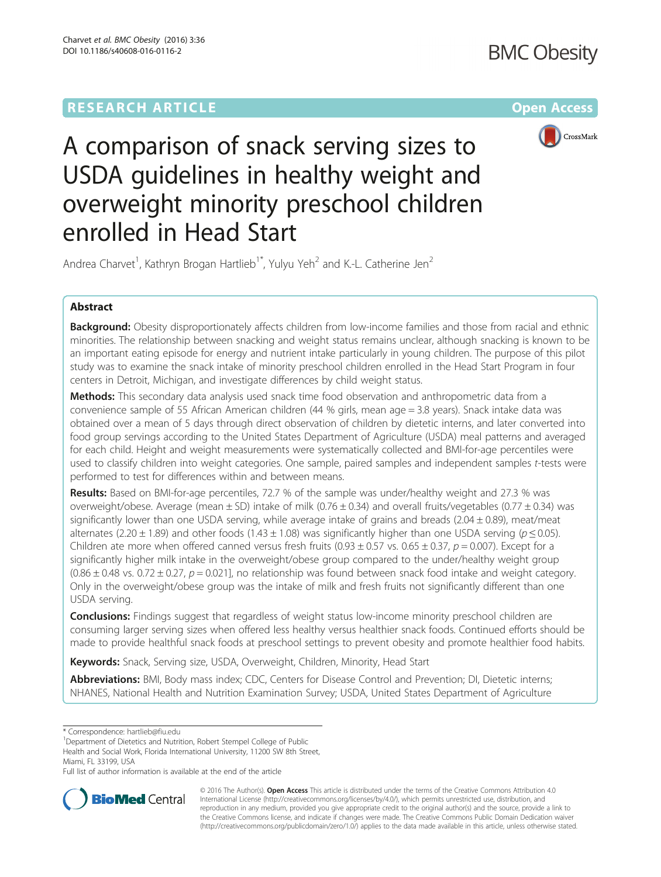# **RESEARCH ARTICLE Example 2014 12:30 The Company Access** (RESEARCH ARTICLE



A comparison of snack serving sizes to USDA guidelines in healthy weight and overweight minority preschool children enrolled in Head Start

Andrea Charvet<sup>1</sup>, Kathryn Brogan Hartlieb<sup>1\*</sup>, Yulyu Yeh<sup>2</sup> and K.-L. Catherine Jen<sup>2</sup>

# Abstract

Background: Obesity disproportionately affects children from low-income families and those from racial and ethnic minorities. The relationship between snacking and weight status remains unclear, although snacking is known to be an important eating episode for energy and nutrient intake particularly in young children. The purpose of this pilot study was to examine the snack intake of minority preschool children enrolled in the Head Start Program in four centers in Detroit, Michigan, and investigate differences by child weight status.

**Methods:** This secondary data analysis used snack time food observation and anthropometric data from a convenience sample of 55 African American children (44 % girls, mean age = 3.8 years). Snack intake data was obtained over a mean of 5 days through direct observation of children by dietetic interns, and later converted into food group servings according to the United States Department of Agriculture (USDA) meal patterns and averaged for each child. Height and weight measurements were systematically collected and BMI-for-age percentiles were used to classify children into weight categories. One sample, paired samples and independent samples t-tests were performed to test for differences within and between means.

Results: Based on BMI-for-age percentiles, 72.7 % of the sample was under/healthy weight and 27.3 % was overweight/obese. Average (mean ± SD) intake of milk (0.76 ± 0.34) and overall fruits/vegetables (0.77 ± 0.34) was significantly lower than one USDA serving, while average intake of grains and breads (2.04  $\pm$  0.89), meat/meat alternates (2.20  $\pm$  1.89) and other foods (1.43  $\pm$  1.08) was significantly higher than one USDA serving ( $p \le 0.05$ ). Children ate more when offered canned versus fresh fruits (0.93  $\pm$  0.57 vs. 0.65  $\pm$  0.37, p = 0.007). Except for a significantly higher milk intake in the overweight/obese group compared to the under/healthy weight group  $(0.86 \pm 0.48 \text{ vs. } 0.72 \pm 0.27, p = 0.021]$ , no relationship was found between snack food intake and weight category. Only in the overweight/obese group was the intake of milk and fresh fruits not significantly different than one USDA serving.

**Conclusions:** Findings suggest that regardless of weight status low-income minority preschool children are consuming larger serving sizes when offered less healthy versus healthier snack foods. Continued efforts should be made to provide healthful snack foods at preschool settings to prevent obesity and promote healthier food habits.

Keywords: Snack, Serving size, USDA, Overweight, Children, Minority, Head Start

Abbreviations: BMI, Body mass index; CDC, Centers for Disease Control and Prevention; DI, Dietetic interns; NHANES, National Health and Nutrition Examination Survey; USDA, United States Department of Agriculture

<sup>1</sup>Department of Dietetics and Nutrition, Robert Stempel College of Public Health and Social Work, Florida International University, 11200 SW 8th Street, Miami, FL 33199, USA

Full list of author information is available at the end of the article



© 2016 The Author(s). Open Access This article is distributed under the terms of the Creative Commons Attribution 4.0 International License [\(http://creativecommons.org/licenses/by/4.0/](http://creativecommons.org/licenses/by/4.0/)), which permits unrestricted use, distribution, and reproduction in any medium, provided you give appropriate credit to the original author(s) and the source, provide a link to the Creative Commons license, and indicate if changes were made. The Creative Commons Public Domain Dedication waiver [\(http://creativecommons.org/publicdomain/zero/1.0/](http://creativecommons.org/publicdomain/zero/1.0/)) applies to the data made available in this article, unless otherwise stated.

<sup>\*</sup> Correspondence: [hartlieb@fiu.edu](mailto:hartlieb@fiu.edu) <sup>1</sup>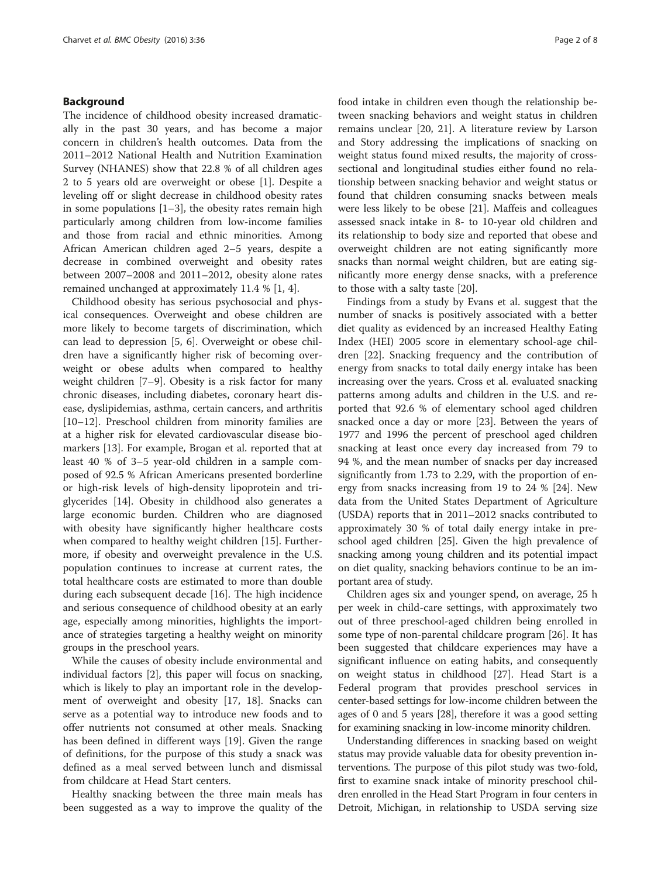# Background

The incidence of childhood obesity increased dramatically in the past 30 years, and has become a major concern in children's health outcomes. Data from the 2011–2012 National Health and Nutrition Examination Survey (NHANES) show that 22.8 % of all children ages 2 to 5 years old are overweight or obese [\[1\]](#page-6-0). Despite a leveling off or slight decrease in childhood obesity rates in some populations  $[1-3]$  $[1-3]$  $[1-3]$  $[1-3]$  $[1-3]$ , the obesity rates remain high particularly among children from low-income families and those from racial and ethnic minorities. Among African American children aged 2–5 years, despite a decrease in combined overweight and obesity rates between 2007–2008 and 2011–2012, obesity alone rates remained unchanged at approximately 11.4 % [[1,](#page-6-0) [4\]](#page-7-0).

Childhood obesity has serious psychosocial and physical consequences. Overweight and obese children are more likely to become targets of discrimination, which can lead to depression [\[5](#page-7-0), [6\]](#page-7-0). Overweight or obese children have a significantly higher risk of becoming overweight or obese adults when compared to healthy weight children [\[7](#page-7-0)–[9\]](#page-7-0). Obesity is a risk factor for many chronic diseases, including diabetes, coronary heart disease, dyslipidemias, asthma, certain cancers, and arthritis [[10](#page-7-0)–[12](#page-7-0)]. Preschool children from minority families are at a higher risk for elevated cardiovascular disease biomarkers [\[13\]](#page-7-0). For example, Brogan et al. reported that at least 40 % of 3–5 year-old children in a sample composed of 92.5 % African Americans presented borderline or high-risk levels of high-density lipoprotein and triglycerides [\[14](#page-7-0)]. Obesity in childhood also generates a large economic burden. Children who are diagnosed with obesity have significantly higher healthcare costs when compared to healthy weight children [\[15](#page-7-0)]. Furthermore, if obesity and overweight prevalence in the U.S. population continues to increase at current rates, the total healthcare costs are estimated to more than double during each subsequent decade [[16](#page-7-0)]. The high incidence and serious consequence of childhood obesity at an early age, especially among minorities, highlights the importance of strategies targeting a healthy weight on minority groups in the preschool years.

While the causes of obesity include environmental and individual factors [\[2](#page-7-0)], this paper will focus on snacking, which is likely to play an important role in the development of overweight and obesity [[17, 18\]](#page-7-0). Snacks can serve as a potential way to introduce new foods and to offer nutrients not consumed at other meals. Snacking has been defined in different ways [\[19](#page-7-0)]. Given the range of definitions, for the purpose of this study a snack was defined as a meal served between lunch and dismissal from childcare at Head Start centers.

Healthy snacking between the three main meals has been suggested as a way to improve the quality of the food intake in children even though the relationship between snacking behaviors and weight status in children remains unclear [[20](#page-7-0), [21\]](#page-7-0). A literature review by Larson and Story addressing the implications of snacking on weight status found mixed results, the majority of crosssectional and longitudinal studies either found no relationship between snacking behavior and weight status or found that children consuming snacks between meals were less likely to be obese [[21\]](#page-7-0). Maffeis and colleagues assessed snack intake in 8- to 10-year old children and its relationship to body size and reported that obese and overweight children are not eating significantly more snacks than normal weight children, but are eating significantly more energy dense snacks, with a preference to those with a salty taste [\[20](#page-7-0)].

Findings from a study by Evans et al. suggest that the number of snacks is positively associated with a better diet quality as evidenced by an increased Healthy Eating Index (HEI) 2005 score in elementary school-age children [\[22](#page-7-0)]. Snacking frequency and the contribution of energy from snacks to total daily energy intake has been increasing over the years. Cross et al. evaluated snacking patterns among adults and children in the U.S. and reported that 92.6 % of elementary school aged children snacked once a day or more [[23\]](#page-7-0). Between the years of 1977 and 1996 the percent of preschool aged children snacking at least once every day increased from 79 to 94 %, and the mean number of snacks per day increased significantly from 1.73 to 2.29, with the proportion of energy from snacks increasing from 19 to 24 % [\[24\]](#page-7-0). New data from the United States Department of Agriculture (USDA) reports that in 2011–2012 snacks contributed to approximately 30 % of total daily energy intake in preschool aged children [[25](#page-7-0)]. Given the high prevalence of snacking among young children and its potential impact on diet quality, snacking behaviors continue to be an important area of study.

Children ages six and younger spend, on average, 25 h per week in child-care settings, with approximately two out of three preschool-aged children being enrolled in some type of non-parental childcare program [\[26](#page-7-0)]. It has been suggested that childcare experiences may have a significant influence on eating habits, and consequently on weight status in childhood [[27\]](#page-7-0). Head Start is a Federal program that provides preschool services in center-based settings for low-income children between the ages of 0 and 5 years [[28](#page-7-0)], therefore it was a good setting for examining snacking in low-income minority children.

Understanding differences in snacking based on weight status may provide valuable data for obesity prevention interventions. The purpose of this pilot study was two-fold, first to examine snack intake of minority preschool children enrolled in the Head Start Program in four centers in Detroit, Michigan, in relationship to USDA serving size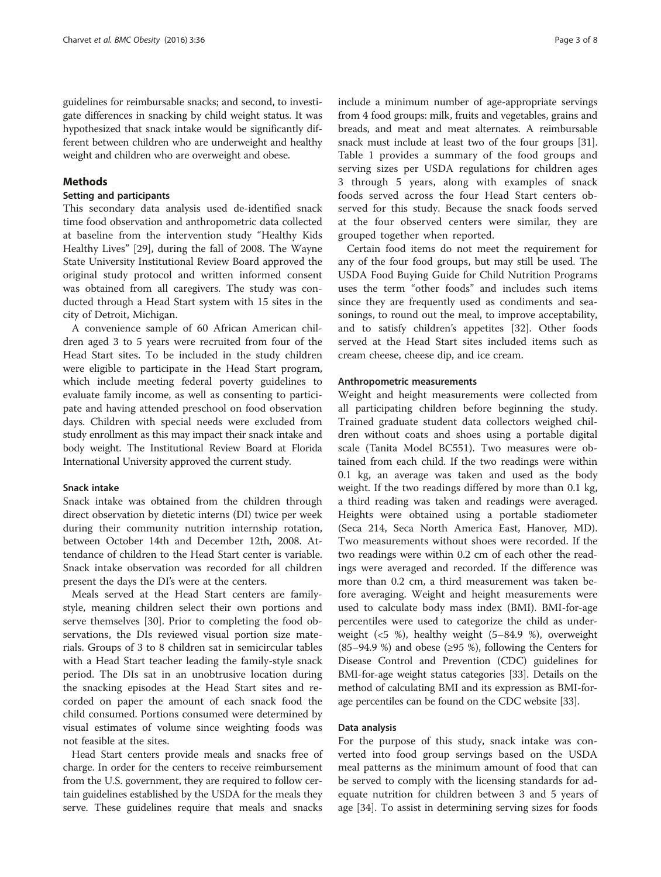guidelines for reimbursable snacks; and second, to investigate differences in snacking by child weight status. It was hypothesized that snack intake would be significantly different between children who are underweight and healthy weight and children who are overweight and obese.

# Methods

# Setting and participants

This secondary data analysis used de-identified snack time food observation and anthropometric data collected at baseline from the intervention study "Healthy Kids Healthy Lives" [\[29](#page-7-0)], during the fall of 2008. The Wayne State University Institutional Review Board approved the original study protocol and written informed consent was obtained from all caregivers. The study was conducted through a Head Start system with 15 sites in the city of Detroit, Michigan.

A convenience sample of 60 African American children aged 3 to 5 years were recruited from four of the Head Start sites. To be included in the study children were eligible to participate in the Head Start program, which include meeting federal poverty guidelines to evaluate family income, as well as consenting to participate and having attended preschool on food observation days. Children with special needs were excluded from study enrollment as this may impact their snack intake and body weight. The Institutional Review Board at Florida International University approved the current study.

## Snack intake

Snack intake was obtained from the children through direct observation by dietetic interns (DI) twice per week during their community nutrition internship rotation, between October 14th and December 12th, 2008. Attendance of children to the Head Start center is variable. Snack intake observation was recorded for all children present the days the DI's were at the centers.

Meals served at the Head Start centers are familystyle, meaning children select their own portions and serve themselves [[30\]](#page-7-0). Prior to completing the food observations, the DIs reviewed visual portion size materials. Groups of 3 to 8 children sat in semicircular tables with a Head Start teacher leading the family-style snack period. The DIs sat in an unobtrusive location during the snacking episodes at the Head Start sites and recorded on paper the amount of each snack food the child consumed. Portions consumed were determined by visual estimates of volume since weighting foods was not feasible at the sites.

Head Start centers provide meals and snacks free of charge. In order for the centers to receive reimbursement from the U.S. government, they are required to follow certain guidelines established by the USDA for the meals they serve. These guidelines require that meals and snacks include a minimum number of age-appropriate servings from 4 food groups: milk, fruits and vegetables, grains and breads, and meat and meat alternates. A reimbursable snack must include at least two of the four groups [[31](#page-7-0)]. Table [1](#page-3-0) provides a summary of the food groups and serving sizes per USDA regulations for children ages 3 through 5 years, along with examples of snack foods served across the four Head Start centers observed for this study. Because the snack foods served at the four observed centers were similar, they are grouped together when reported.

Certain food items do not meet the requirement for any of the four food groups, but may still be used. The USDA Food Buying Guide for Child Nutrition Programs uses the term "other foods" and includes such items since they are frequently used as condiments and seasonings, to round out the meal, to improve acceptability, and to satisfy children's appetites [[32\]](#page-7-0). Other foods served at the Head Start sites included items such as cream cheese, cheese dip, and ice cream.

# Anthropometric measurements

Weight and height measurements were collected from all participating children before beginning the study. Trained graduate student data collectors weighed children without coats and shoes using a portable digital scale (Tanita Model BC551). Two measures were obtained from each child. If the two readings were within 0.1 kg, an average was taken and used as the body weight. If the two readings differed by more than 0.1 kg, a third reading was taken and readings were averaged. Heights were obtained using a portable stadiometer (Seca 214, Seca North America East, Hanover, MD). Two measurements without shoes were recorded. If the two readings were within 0.2 cm of each other the readings were averaged and recorded. If the difference was more than 0.2 cm, a third measurement was taken before averaging. Weight and height measurements were used to calculate body mass index (BMI). BMI-for-age percentiles were used to categorize the child as underweight (<5 %), healthy weight (5–84.9 %), overweight  $(85–94.9 \%)$  and obese ( $\geq$ 95 %), following the Centers for Disease Control and Prevention (CDC) guidelines for BMI-for-age weight status categories [[33](#page-7-0)]. Details on the method of calculating BMI and its expression as BMI-forage percentiles can be found on the CDC website [[33](#page-7-0)].

# Data analysis

For the purpose of this study, snack intake was converted into food group servings based on the USDA meal patterns as the minimum amount of food that can be served to comply with the licensing standards for adequate nutrition for children between 3 and 5 years of age [[34](#page-7-0)]. To assist in determining serving sizes for foods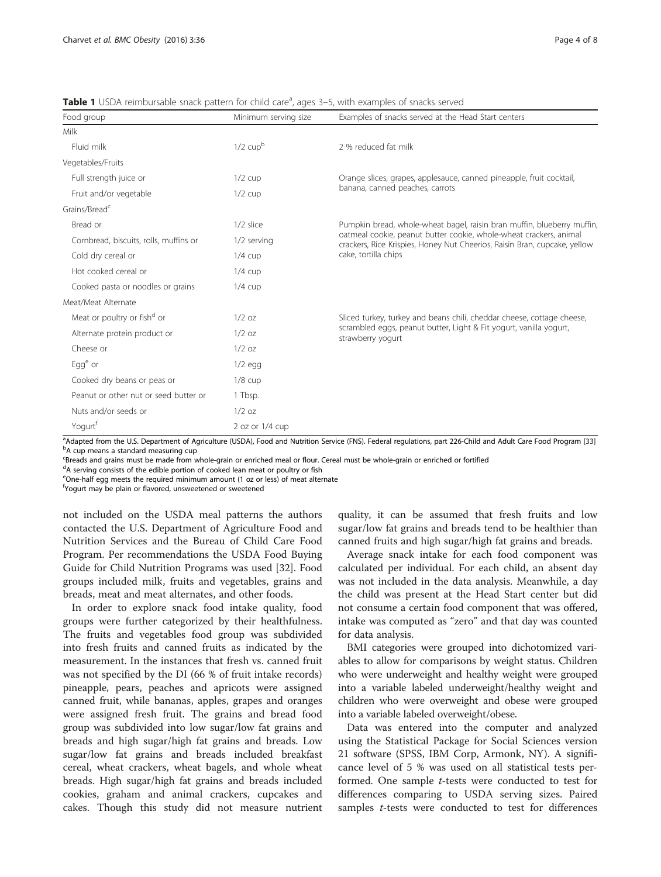| Food group                              | Minimum serving size | Examples of snacks served at the Head Start centers                                                                                             |  |  |  |
|-----------------------------------------|----------------------|-------------------------------------------------------------------------------------------------------------------------------------------------|--|--|--|
| Milk                                    |                      |                                                                                                                                                 |  |  |  |
| Fluid milk                              | $1/2$ cupb           | 2 % reduced fat milk                                                                                                                            |  |  |  |
| Vegetables/Fruits                       |                      |                                                                                                                                                 |  |  |  |
| Full strength juice or                  | $1/2$ cup            | Orange slices, grapes, applesauce, canned pineapple, fruit cocktail,                                                                            |  |  |  |
| Fruit and/or vegetable                  | $1/2$ cup            | banana, canned peaches, carrots                                                                                                                 |  |  |  |
| Grains/Bread <sup>c</sup>               |                      |                                                                                                                                                 |  |  |  |
| Bread or                                | 1/2 slice            | Pumpkin bread, whole-wheat bagel, raisin bran muffin, blueberry muffin,                                                                         |  |  |  |
| Cornbread, biscuits, rolls, muffins or  | 1/2 serving          | oatmeal cookie, peanut butter cookie, whole-wheat crackers, animal<br>crackers, Rice Krispies, Honey Nut Cheerios, Raisin Bran, cupcake, yellow |  |  |  |
| Cold dry cereal or                      | $1/4$ cup            | cake, tortilla chips                                                                                                                            |  |  |  |
| Hot cooked cereal or                    | $1/4$ cup            |                                                                                                                                                 |  |  |  |
| Cooked pasta or noodles or grains       | $1/4$ cup            |                                                                                                                                                 |  |  |  |
| Meat/Meat Alternate                     |                      |                                                                                                                                                 |  |  |  |
| Meat or poultry or fish <sup>d</sup> or | $1/2$ oz             | Sliced turkey, turkey and beans chili, cheddar cheese, cottage cheese,                                                                          |  |  |  |
| Alternate protein product or            | $1/2$ oz             | scrambled eggs, peanut butter, Light & Fit yogurt, vanilla yogurt,<br>strawberry yogurt                                                         |  |  |  |
| Cheese or                               | $1/2$ oz             |                                                                                                                                                 |  |  |  |
| $Egge$ or                               | $1/2$ egg            |                                                                                                                                                 |  |  |  |
| Cooked dry beans or peas or             | $1/8$ cup            |                                                                                                                                                 |  |  |  |
| Peanut or other nut or seed butter or   | 1 Tbsp.              |                                                                                                                                                 |  |  |  |
| Nuts and/or seeds or                    | $1/2$ oz             |                                                                                                                                                 |  |  |  |
| Yogurt <sup>t</sup>                     | 2 oz or $1/4$ cup    |                                                                                                                                                 |  |  |  |

<span id="page-3-0"></span>Table 1 USDA reimbursable snack pattern for child care<sup>a</sup>, ages 3–5, with examples of snacks served

<sup>a</sup>Adapted from the U.S. Department of Agriculture (USDA), Food and Nutrition Service (FNS). Federal regulations, part 226-Child and Adult Care Food Program [[33](#page-7-0)] backing the U.S. Department of Agriculture (USDA), Food and <sup>b</sup>A cup means a standard measuring cup

EBreads and grains must be made from whole-grain or enriched meal or flour. Cereal must be whole-grain or enriched or fortified

<sup>d</sup>A serving consists of the edible portion of cooked lean meat or poultry or fish

eOne-half egg meets the required minimum amount (1 oz or less) of meat alternate

f Yogurt may be plain or flavored, unsweetened or sweetened

not included on the USDA meal patterns the authors contacted the U.S. Department of Agriculture Food and Nutrition Services and the Bureau of Child Care Food Program. Per recommendations the USDA Food Buying Guide for Child Nutrition Programs was used [[32\]](#page-7-0). Food groups included milk, fruits and vegetables, grains and breads, meat and meat alternates, and other foods.

In order to explore snack food intake quality, food groups were further categorized by their healthfulness. The fruits and vegetables food group was subdivided into fresh fruits and canned fruits as indicated by the measurement. In the instances that fresh vs. canned fruit was not specified by the DI (66 % of fruit intake records) pineapple, pears, peaches and apricots were assigned canned fruit, while bananas, apples, grapes and oranges were assigned fresh fruit. The grains and bread food group was subdivided into low sugar/low fat grains and breads and high sugar/high fat grains and breads. Low sugar/low fat grains and breads included breakfast cereal, wheat crackers, wheat bagels, and whole wheat breads. High sugar/high fat grains and breads included cookies, graham and animal crackers, cupcakes and cakes. Though this study did not measure nutrient

quality, it can be assumed that fresh fruits and low sugar/low fat grains and breads tend to be healthier than canned fruits and high sugar/high fat grains and breads.

Average snack intake for each food component was calculated per individual. For each child, an absent day was not included in the data analysis. Meanwhile, a day the child was present at the Head Start center but did not consume a certain food component that was offered, intake was computed as "zero" and that day was counted for data analysis.

BMI categories were grouped into dichotomized variables to allow for comparisons by weight status. Children who were underweight and healthy weight were grouped into a variable labeled underweight/healthy weight and children who were overweight and obese were grouped into a variable labeled overweight/obese.

Data was entered into the computer and analyzed using the Statistical Package for Social Sciences version 21 software (SPSS, IBM Corp, Armonk, NY). A significance level of 5 % was used on all statistical tests performed. One sample t-tests were conducted to test for differences comparing to USDA serving sizes. Paired samples *t*-tests were conducted to test for differences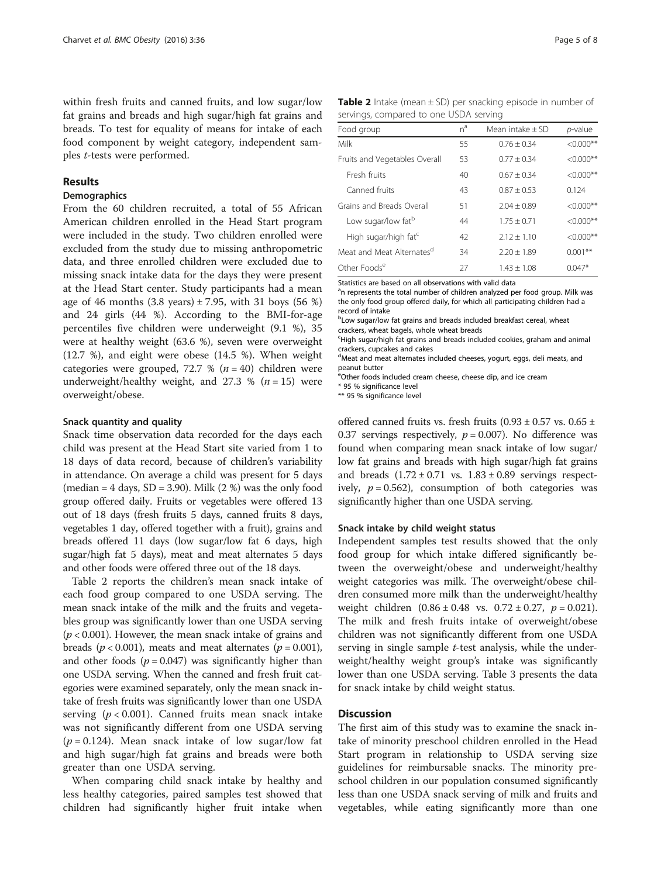within fresh fruits and canned fruits, and low sugar/low fat grains and breads and high sugar/high fat grains and breads. To test for equality of means for intake of each food component by weight category, independent samples t-tests were performed.

# Results

### **Demographics**

From the 60 children recruited, a total of 55 African American children enrolled in the Head Start program were included in the study. Two children enrolled were excluded from the study due to missing anthropometric data, and three enrolled children were excluded due to missing snack intake data for the days they were present at the Head Start center. Study participants had a mean age of 46 months  $(3.8 \text{ years}) \pm 7.95$ , with 31 boys  $(56 \text{ %})$ and 24 girls (44 %). According to the BMI-for-age percentiles five children were underweight (9.1 %), 35 were at healthy weight (63.6 %), seven were overweight (12.7 %), and eight were obese (14.5 %). When weight categories were grouped, 72.7 % ( $n = 40$ ) children were underweight/healthy weight, and 27.3 %  $(n = 15)$  were overweight/obese.

# Snack quantity and quality

Snack time observation data recorded for the days each child was present at the Head Start site varied from 1 to 18 days of data record, because of children's variability in attendance. On average a child was present for 5 days (median =  $4$  days, SD = 3.90). Milk (2 %) was the only food group offered daily. Fruits or vegetables were offered 13 out of 18 days (fresh fruits 5 days, canned fruits 8 days, vegetables 1 day, offered together with a fruit), grains and breads offered 11 days (low sugar/low fat 6 days, high sugar/high fat 5 days), meat and meat alternates 5 days and other foods were offered three out of the 18 days.

Table 2 reports the children's mean snack intake of each food group compared to one USDA serving. The mean snack intake of the milk and the fruits and vegetables group was significantly lower than one USDA serving  $(p < 0.001)$ . However, the mean snack intake of grains and breads ( $p < 0.001$ ), meats and meat alternates ( $p = 0.001$ ), and other foods  $(p = 0.047)$  was significantly higher than one USDA serving. When the canned and fresh fruit categories were examined separately, only the mean snack intake of fresh fruits was significantly lower than one USDA serving  $(p < 0.001)$ . Canned fruits mean snack intake was not significantly different from one USDA serving  $(p = 0.124)$ . Mean snack intake of low sugar/low fat and high sugar/high fat grains and breads were both greater than one USDA serving.

When comparing child snack intake by healthy and less healthy categories, paired samples test showed that children had significantly higher fruit intake when

| <b>Table 2</b> Intake (mean $\pm$ SD) per snacking episode in number of |  |  |  |
|-------------------------------------------------------------------------|--|--|--|
| servings, compared to one USDA serving                                  |  |  |  |

| Food group                            | $n^a$ | Mean intake $\pm$ SD | p-value      |
|---------------------------------------|-------|----------------------|--------------|
| Milk                                  | 55    | $0.76 + 0.34$        | $<0.000**$   |
| Fruits and Vegetables Overall         | 53    | $0.77 + 0.34$        | $<0.000**$   |
| Fresh fruits                          | 40    | $0.67 + 0.34$        | $< 0.000$ ** |
| Canned fruits                         | 43    | $0.87 + 0.53$        | 0.124        |
| Grains and Breads Overall             | 51    | $2.04 + 0.89$        | $<0.000**$   |
| Low sugar/low fat <sup>b</sup>        | 44    | $1.75 + 0.71$        | $<0.000**$   |
| High sugar/high fat <sup>c</sup>      | 42    | $2.12 + 1.10$        | $<0.000**$   |
| Meat and Meat Alternates <sup>d</sup> | 34    | $2.20 + 1.89$        | $0.001***$   |
| Other Foods <sup>e</sup>              | 27    | $1.43 \pm 1.08$      | $0.047*$     |

Statistics are based on all observations with valid data

<sup>a</sup>n represents the total number of children analyzed per food group. Milk was the only food group offered daily, for which all participating children had a record of intake

<sup>b</sup>Low sugar/low fat grains and breads included breakfast cereal, wheat crackers, wheat bagels, whole wheat breads

<sup>c</sup>High sugar/high fat grains and breads included cookies, graham and animal crackers, cupcakes and cakes

d Meat and meat alternates included cheeses, yogurt, eggs, deli meats, and peanut butter

eOther foods included cream cheese, cheese dip, and ice cream

\* 95 % significance level

\*\* 95 % significance level

offered canned fruits vs. fresh fruits  $(0.93 \pm 0.57 \text{ vs. } 0.65 \pm 1.05 \text{ s})$ 0.37 servings respectively,  $p = 0.007$ ). No difference was found when comparing mean snack intake of low sugar/ low fat grains and breads with high sugar/high fat grains and breads  $(1.72 \pm 0.71 \text{ vs. } 1.83 \pm 0.89 \text{ servings respectively})$ ively,  $p = 0.562$ ), consumption of both categories was significantly higher than one USDA serving.

# Snack intake by child weight status

Independent samples test results showed that the only food group for which intake differed significantly between the overweight/obese and underweight/healthy weight categories was milk. The overweight/obese children consumed more milk than the underweight/healthy weight children  $(0.86 \pm 0.48 \text{ vs. } 0.72 \pm 0.27, p = 0.021)$ . The milk and fresh fruits intake of overweight/obese children was not significantly different from one USDA serving in single sample  $t$ -test analysis, while the underweight/healthy weight group's intake was significantly lower than one USDA serving. Table [3](#page-5-0) presents the data for snack intake by child weight status.

# **Discussion**

The first aim of this study was to examine the snack intake of minority preschool children enrolled in the Head Start program in relationship to USDA serving size guidelines for reimbursable snacks. The minority preschool children in our population consumed significantly less than one USDA snack serving of milk and fruits and vegetables, while eating significantly more than one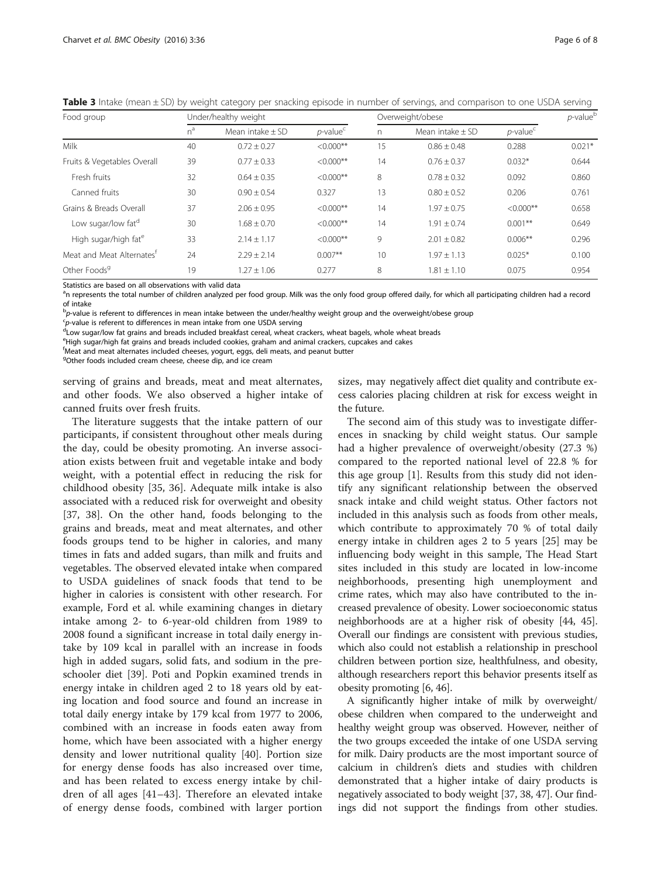| Food group                            | Under/healthy weight |                      |                | Overweight/obese |                      |                | $p$ -value $b$ |
|---------------------------------------|----------------------|----------------------|----------------|------------------|----------------------|----------------|----------------|
|                                       | $n^a$                | Mean intake $\pm$ SD | $p$ -value $c$ | n                | Mean intake $\pm$ SD | $p$ -value $c$ |                |
| Milk                                  | 40                   | $0.72 \pm 0.27$      | $< 0.000$ **   | 15               | $0.86 \pm 0.48$      | 0.288          | $0.021*$       |
| Fruits & Vegetables Overall           | 39                   | $0.77 + 0.33$        | $<0.000**$     | 14               | $0.76 + 0.37$        | $0.032*$       | 0.644          |
| Fresh fruits                          | 32                   | $0.64 \pm 0.35$      | $<0.000**$     | 8                | $0.78 \pm 0.32$      | 0.092          | 0.860          |
| Canned fruits                         | 30                   | $0.90 \pm 0.54$      | 0.327          | 13               | $0.80 \pm 0.52$      | 0.206          | 0.761          |
| Grains & Breads Overall               | 37                   | $2.06 \pm 0.95$      | $<0.000**$     | 14               | $1.97 \pm 0.75$      | $<0.000**$     | 0.658          |
| Low sugar/low fat <sup>d</sup>        | 30                   | $1.68 \pm 0.70$      | $<0.000**$     | 14               | $1.91 + 0.74$        | $0.001**$      | 0.649          |
| High sugar/high fat <sup>e</sup>      | 33                   | $2.14 \pm 1.17$      | $<0.000**$     | 9                | $2.01 \pm 0.82$      | $0.006**$      | 0.296          |
| Meat and Meat Alternates <sup>t</sup> | 24                   | $2.29 \pm 2.14$      | $0.007**$      | 10               | $1.97 + 1.13$        | $0.025*$       | 0.100          |
| Other Foods <sup>9</sup>              | 19                   | $1.27 \pm 1.06$      | 0.277          | 8                | $.81 \pm 1.10$       | 0.075          | 0.954          |

<span id="page-5-0"></span>Table 3 Intake (mean ± SD) by weight category per snacking episode in number of servings, and comparison to one USDA serving

Statistics are based on all observations with valid data

<sup>a</sup>n represents the total number of children analyzed per food group. Milk was the only food group offered daily, for which all participating children had a record of intake

b<sub>p</sub>-value is referent to differences in mean intake between the under/healthy weight group and the overweight/obese group<br>Spavalue is referent to differences in mean intake from one USDA sensing

<sup>c</sup>p-value is referent to differences in mean intake from one USDA serving<br><sup>d</sup>Low sugar/low fat grains and breads included breakfast cereal, wheat crackers, wheat bagels, whole wheat breads

eHigh sugar/high fat grains and breads included cookies, graham and animal crackers, cupcakes and cakes

<sup>f</sup>Meat and meat alternates included cheeses, yogurt, eggs, deli meats, and peanut butter

<sup>9</sup>Other foods included cream cheese, cheese dip, and ice cream

serving of grains and breads, meat and meat alternates, and other foods. We also observed a higher intake of canned fruits over fresh fruits.

The literature suggests that the intake pattern of our participants, if consistent throughout other meals during the day, could be obesity promoting. An inverse association exists between fruit and vegetable intake and body weight, with a potential effect in reducing the risk for childhood obesity [[35](#page-7-0), [36](#page-7-0)]. Adequate milk intake is also associated with a reduced risk for overweight and obesity [[37, 38](#page-7-0)]. On the other hand, foods belonging to the grains and breads, meat and meat alternates, and other foods groups tend to be higher in calories, and many times in fats and added sugars, than milk and fruits and vegetables. The observed elevated intake when compared to USDA guidelines of snack foods that tend to be higher in calories is consistent with other research. For example, Ford et al. while examining changes in dietary intake among 2- to 6-year-old children from 1989 to 2008 found a significant increase in total daily energy intake by 109 kcal in parallel with an increase in foods high in added sugars, solid fats, and sodium in the preschooler diet [[39\]](#page-7-0). Poti and Popkin examined trends in energy intake in children aged 2 to 18 years old by eating location and food source and found an increase in total daily energy intake by 179 kcal from 1977 to 2006, combined with an increase in foods eaten away from home, which have been associated with a higher energy density and lower nutritional quality [[40](#page-7-0)]. Portion size for energy dense foods has also increased over time, and has been related to excess energy intake by children of all ages [[41](#page-7-0)–[43\]](#page-7-0). Therefore an elevated intake of energy dense foods, combined with larger portion sizes, may negatively affect diet quality and contribute excess calories placing children at risk for excess weight in the future.

The second aim of this study was to investigate differences in snacking by child weight status. Our sample had a higher prevalence of overweight/obesity (27.3 %) compared to the reported national level of 22.8 % for this age group [[1\]](#page-6-0). Results from this study did not identify any significant relationship between the observed snack intake and child weight status. Other factors not included in this analysis such as foods from other meals, which contribute to approximately 70 % of total daily energy intake in children ages 2 to 5 years [[25](#page-7-0)] may be influencing body weight in this sample, The Head Start sites included in this study are located in low-income neighborhoods, presenting high unemployment and crime rates, which may also have contributed to the increased prevalence of obesity. Lower socioeconomic status neighborhoods are at a higher risk of obesity [\[44, 45](#page-7-0)]. Overall our findings are consistent with previous studies, which also could not establish a relationship in preschool children between portion size, healthfulness, and obesity, although researchers report this behavior presents itself as obesity promoting [\[6](#page-7-0), [46\]](#page-7-0).

A significantly higher intake of milk by overweight/ obese children when compared to the underweight and healthy weight group was observed. However, neither of the two groups exceeded the intake of one USDA serving for milk. Dairy products are the most important source of calcium in children's diets and studies with children demonstrated that a higher intake of dairy products is negatively associated to body weight [[37](#page-7-0), [38](#page-7-0), [47\]](#page-7-0). Our findings did not support the findings from other studies.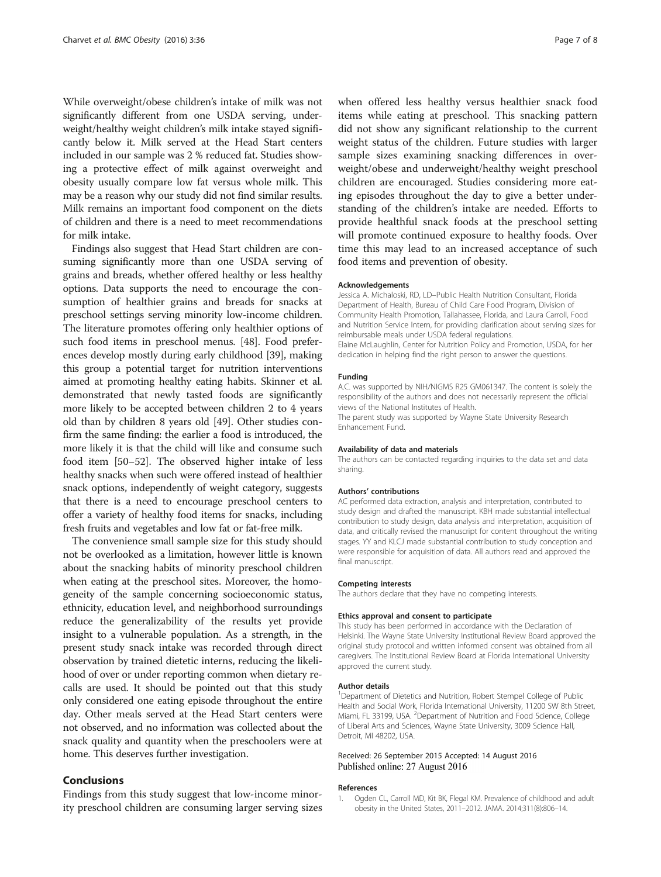<span id="page-6-0"></span>While overweight/obese children's intake of milk was not significantly different from one USDA serving, underweight/healthy weight children's milk intake stayed significantly below it. Milk served at the Head Start centers included in our sample was 2 % reduced fat. Studies showing a protective effect of milk against overweight and obesity usually compare low fat versus whole milk. This may be a reason why our study did not find similar results. Milk remains an important food component on the diets of children and there is a need to meet recommendations for milk intake.

Findings also suggest that Head Start children are consuming significantly more than one USDA serving of grains and breads, whether offered healthy or less healthy options. Data supports the need to encourage the consumption of healthier grains and breads for snacks at preschool settings serving minority low-income children. The literature promotes offering only healthier options of such food items in preschool menus. [[48](#page-7-0)]. Food preferences develop mostly during early childhood [\[39\]](#page-7-0), making this group a potential target for nutrition interventions aimed at promoting healthy eating habits. Skinner et al. demonstrated that newly tasted foods are significantly more likely to be accepted between children 2 to 4 years old than by children 8 years old [\[49](#page-7-0)]. Other studies confirm the same finding: the earlier a food is introduced, the more likely it is that the child will like and consume such food item [\[50](#page-7-0)–[52](#page-7-0)]. The observed higher intake of less healthy snacks when such were offered instead of healthier snack options, independently of weight category, suggests that there is a need to encourage preschool centers to offer a variety of healthy food items for snacks, including fresh fruits and vegetables and low fat or fat-free milk.

The convenience small sample size for this study should not be overlooked as a limitation, however little is known about the snacking habits of minority preschool children when eating at the preschool sites. Moreover, the homogeneity of the sample concerning socioeconomic status, ethnicity, education level, and neighborhood surroundings reduce the generalizability of the results yet provide insight to a vulnerable population. As a strength, in the present study snack intake was recorded through direct observation by trained dietetic interns, reducing the likelihood of over or under reporting common when dietary recalls are used. It should be pointed out that this study only considered one eating episode throughout the entire day. Other meals served at the Head Start centers were not observed, and no information was collected about the snack quality and quantity when the preschoolers were at home. This deserves further investigation.

# Conclusions

Findings from this study suggest that low-income minority preschool children are consuming larger serving sizes

when offered less healthy versus healthier snack food items while eating at preschool. This snacking pattern did not show any significant relationship to the current weight status of the children. Future studies with larger sample sizes examining snacking differences in overweight/obese and underweight/healthy weight preschool children are encouraged. Studies considering more eating episodes throughout the day to give a better understanding of the children's intake are needed. Efforts to provide healthful snack foods at the preschool setting will promote continued exposure to healthy foods. Over time this may lead to an increased acceptance of such food items and prevention of obesity.

### Acknowledgements

Jessica A. Michaloski, RD, LD–Public Health Nutrition Consultant, Florida Department of Health, Bureau of Child Care Food Program, Division of Community Health Promotion, Tallahassee, Florida, and Laura Carroll, Food and Nutrition Service Intern, for providing clarification about serving sizes for reimbursable meals under USDA federal regulations. Elaine McLaughlin, Center for Nutrition Policy and Promotion, USDA, for her dedication in helping find the right person to answer the questions.

### Funding

A.C. was supported by NIH/NIGMS R25 GM061347. The content is solely the responsibility of the authors and does not necessarily represent the official views of the National Institutes of Health.

The parent study was supported by Wayne State University Research Enhancement Fund.

### Availability of data and materials

The authors can be contacted regarding inquiries to the data set and data sharing.

### Authors' contributions

AC performed data extraction, analysis and interpretation, contributed to study design and drafted the manuscript. KBH made substantial intellectual contribution to study design, data analysis and interpretation, acquisition of data, and critically revised the manuscript for content throughout the writing stages. YY and KLCJ made substantial contribution to study conception and were responsible for acquisition of data. All authors read and approved the final manuscript.

#### Competing interests

The authors declare that they have no competing interests.

### Ethics approval and consent to participate

This study has been performed in accordance with the Declaration of Helsinki. The Wayne State University Institutional Review Board approved the original study protocol and written informed consent was obtained from all caregivers. The Institutional Review Board at Florida International University approved the current study.

### Author details

<sup>1</sup>Department of Dietetics and Nutrition, Robert Stempel College of Public Health and Social Work, Florida International University, 11200 SW 8th Street, Miami, FL 33199, USA. <sup>2</sup>Department of Nutrition and Food Science, College of Liberal Arts and Sciences, Wayne State University, 3009 Science Hall, Detroit, MI 48202, USA.

### Received: 26 September 2015 Accepted: 14 August 2016 Published online: 27 August 2016

### References

1. Ogden CL, Carroll MD, Kit BK, Flegal KM. Prevalence of childhood and adult obesity in the United States, 2011–2012. JAMA. 2014;311(8):806–14.